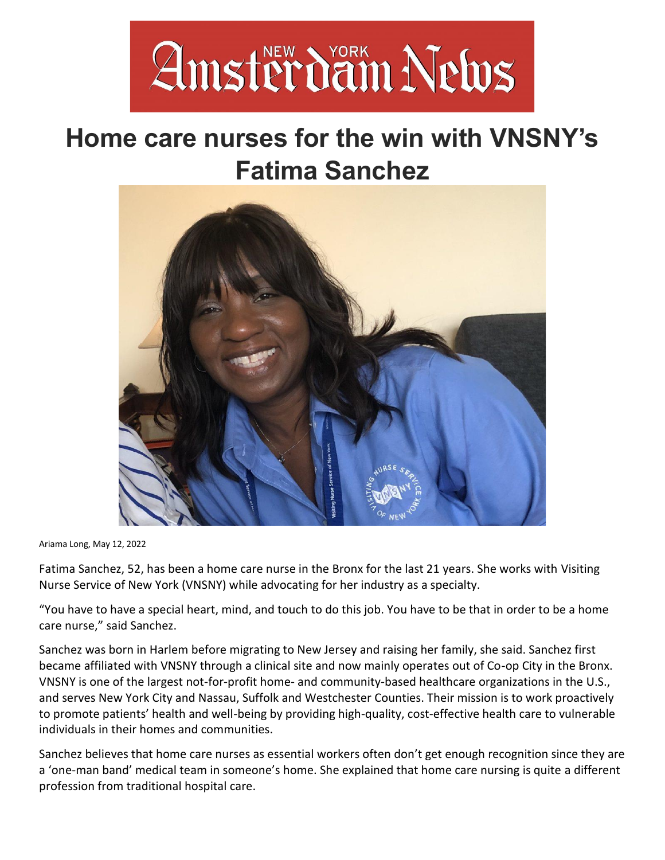

## **Home care nurses for the win with VNSNY's Fatima Sanchez**



Ariama Long, May 12, 2022

Fatima Sanchez, 52, has been a home care nurse in the Bronx for the last 21 years. She works with Visiting Nurse Service of New York (VNSNY) while advocating for her industry as a specialty.

"You have to have a special heart, mind, and touch to do this job. You have to be that in order to be a home care nurse," said Sanchez.

Sanchez was born in Harlem before migrating to New Jersey and raising her family, she said. Sanchez first became affiliated with VNSNY through a clinical site and now mainly operates out of Co-op City in the Bronx. VNSNY is one of the largest not-for-profit home- and community-based healthcare organizations in the U.S., and serves New York City and Nassau, Suffolk and Westchester Counties. Their mission is to work proactively to promote patients' health and well-being by providing high-quality, cost-effective health care to vulnerable individuals in their homes and communities.

Sanchez believes that home care nurses as essential workers often don't get enough recognition since they are a 'one-man band' medical team in someone's home. She explained that home care nursing is quite a different profession from traditional hospital care.